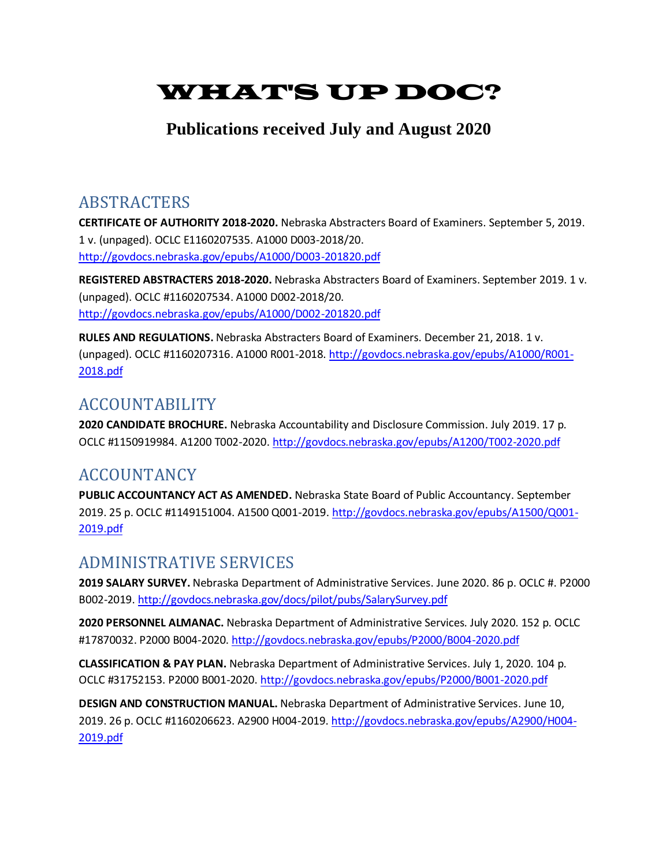# WHAT'S UP DOC?

### **Publications received July and August 2020**

### ABSTRACTERS

**CERTIFICATE OF AUTHORITY 2018-2020.** Nebraska Abstracters Board of Examiners. September 5, 2019. 1 v. (unpaged). OCLC E1160207535. A1000 D003-2018/20. <http://govdocs.nebraska.gov/epubs/A1000/D003-201820.pdf>

**REGISTERED ABSTRACTERS 2018-2020.** Nebraska Abstracters Board of Examiners. September 2019. 1 v. (unpaged). OCLC #1160207534. A1000 D002-2018/20. <http://govdocs.nebraska.gov/epubs/A1000/D002-201820.pdf>

**RULES AND REGULATIONS.** Nebraska Abstracters Board of Examiners. December 21, 2018. 1 v. (unpaged). OCLC #1160207316. A1000 R001-2018[. http://govdocs.nebraska.gov/epubs/A1000/R001-](http://govdocs.nebraska.gov/epubs/A1000/R001-2018.pdf) [2018.pdf](http://govdocs.nebraska.gov/epubs/A1000/R001-2018.pdf)

## ACCOUNTABILITY

**2020 CANDIDATE BROCHURE.** Nebraska Accountability and Disclosure Commission. July 2019. 17 p. OCLC #1150919984. A1200 T002-2020.<http://govdocs.nebraska.gov/epubs/A1200/T002-2020.pdf>

## ACCOUNTANCY

**PUBLIC ACCOUNTANCY ACT AS AMENDED.** Nebraska State Board of Public Accountancy. September 2019. 25 p. OCLC #1149151004. A1500 Q001-2019[. http://govdocs.nebraska.gov/epubs/A1500/Q001-](http://govdocs.nebraska.gov/epubs/A1500/Q001-2019.pdf) [2019.pdf](http://govdocs.nebraska.gov/epubs/A1500/Q001-2019.pdf)

## ADMINISTRATIVE SERVICES

**2019 SALARY SURVEY.** Nebraska Department of Administrative Services. June 2020. 86 p. OCLC #. P2000 B002-2019[. http://govdocs.nebraska.gov/docs/pilot/pubs/SalarySurvey.pdf](http://govdocs.nebraska.gov/docs/pilot/pubs/SalarySurvey.pdf)

**2020 PERSONNEL ALMANAC.** Nebraska Department of Administrative Services. July 2020. 152 p. OCLC #17870032. P2000 B004-2020[. http://govdocs.nebraska.gov/epubs/P2000/B004-2020.pdf](http://govdocs.nebraska.gov/epubs/P2000/B004-2020.pdf)

**CLASSIFICATION & PAY PLAN.** Nebraska Department of Administrative Services. July 1, 2020. 104 p. OCLC #31752153. P2000 B001-2020[. http://govdocs.nebraska.gov/epubs/P2000/B001-2020.pdf](http://govdocs.nebraska.gov/epubs/P2000/B001-2020.pdf)

**DESIGN AND CONSTRUCTION MANUAL.** Nebraska Department of Administrative Services. June 10, 2019. 26 p. OCLC #1160206623. A2900 H004-2019[. http://govdocs.nebraska.gov/epubs/A2900/H004-](http://govdocs.nebraska.gov/epubs/A2900/H004-2019.pdf) [2019.pdf](http://govdocs.nebraska.gov/epubs/A2900/H004-2019.pdf)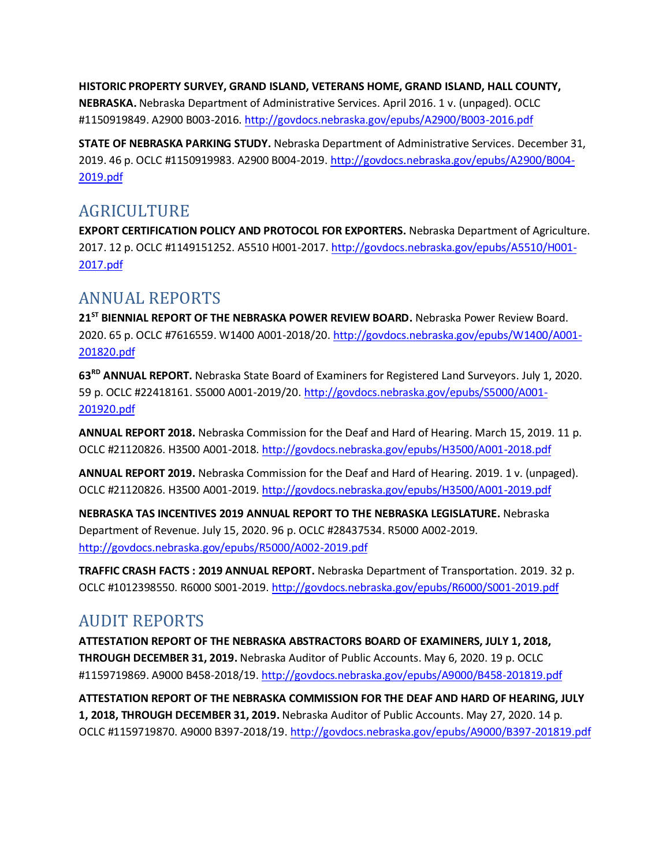**HISTORIC PROPERTY SURVEY, GRAND ISLAND, VETERANS HOME, GRAND ISLAND, HALL COUNTY, NEBRASKA.** Nebraska Department of Administrative Services. April 2016. 1 v. (unpaged). OCLC #1150919849. A2900 B003-2016[. http://govdocs.nebraska.gov/epubs/A2900/B003-2016.pdf](http://govdocs.nebraska.gov/epubs/A2900/B003-2016.pdf)

**STATE OF NEBRASKA PARKING STUDY.** Nebraska Department of Administrative Services. December 31, 2019. 46 p. OCLC #1150919983. A2900 B004-2019[. http://govdocs.nebraska.gov/epubs/A2900/B004-](http://govdocs.nebraska.gov/epubs/A2900/B004-2019.pdf) [2019.pdf](http://govdocs.nebraska.gov/epubs/A2900/B004-2019.pdf)

### AGRICULTURE

**EXPORT CERTIFICATION POLICY AND PROTOCOL FOR EXPORTERS.** Nebraska Department of Agriculture. 2017. 12 p. OCLC #1149151252. A5510 H001-2017[. http://govdocs.nebraska.gov/epubs/A5510/H001-](http://govdocs.nebraska.gov/epubs/A5510/H001-2017.pdf) [2017.pdf](http://govdocs.nebraska.gov/epubs/A5510/H001-2017.pdf)

### ANNUAL REPORTS

**21ST BIENNIAL REPORT OF THE NEBRASKA POWER REVIEW BOARD.** Nebraska Power Review Board. 2020. 65 p. OCLC #7616559. W1400 A001-2018/20[. http://govdocs.nebraska.gov/epubs/W1400/A001-](http://govdocs.nebraska.gov/epubs/W1400/A001-201820.pdf) [201820.pdf](http://govdocs.nebraska.gov/epubs/W1400/A001-201820.pdf)

**63RD ANNUAL REPORT.** Nebraska State Board of Examiners for Registered Land Surveyors. July 1, 2020. 59 p. OCLC #22418161. S5000 A001-2019/20[. http://govdocs.nebraska.gov/epubs/S5000/A001-](http://govdocs.nebraska.gov/epubs/S5000/A001-201920.pdf) [201920.pdf](http://govdocs.nebraska.gov/epubs/S5000/A001-201920.pdf)

**ANNUAL REPORT 2018.** Nebraska Commission for the Deaf and Hard of Hearing. March 15, 2019. 11 p. OCLC #21120826. H3500 A001-2018.<http://govdocs.nebraska.gov/epubs/H3500/A001-2018.pdf>

**ANNUAL REPORT 2019.** Nebraska Commission for the Deaf and Hard of Hearing. 2019. 1 v. (unpaged). OCLC #21120826. H3500 A001-2019.<http://govdocs.nebraska.gov/epubs/H3500/A001-2019.pdf>

**NEBRASKA TAS INCENTIVES 2019 ANNUAL REPORT TO THE NEBRASKA LEGISLATURE.** Nebraska Department of Revenue. July 15, 2020. 96 p. OCLC #28437534. R5000 A002-2019. <http://govdocs.nebraska.gov/epubs/R5000/A002-2019.pdf>

**TRAFFIC CRASH FACTS : 2019 ANNUAL REPORT.** Nebraska Department of Transportation. 2019. 32 p. OCLC #1012398550. R6000 S001-2019.<http://govdocs.nebraska.gov/epubs/R6000/S001-2019.pdf>

### AUDIT REPORTS

**ATTESTATION REPORT OF THE NEBRASKA ABSTRACTORS BOARD OF EXAMINERS, JULY 1, 2018, THROUGH DECEMBER 31, 2019.** Nebraska Auditor of Public Accounts. May 6, 2020. 19 p. OCLC #1159719869. A9000 B458-2018/19[. http://govdocs.nebraska.gov/epubs/A9000/B458-201819.pdf](http://govdocs.nebraska.gov/epubs/A9000/B458-201819.pdf)

**ATTESTATION REPORT OF THE NEBRASKA COMMISSION FOR THE DEAF AND HARD OF HEARING, JULY 1, 2018, THROUGH DECEMBER 31, 2019.** Nebraska Auditor of Public Accounts. May 27, 2020. 14 p. OCLC #1159719870. A9000 B397-2018/19.<http://govdocs.nebraska.gov/epubs/A9000/B397-201819.pdf>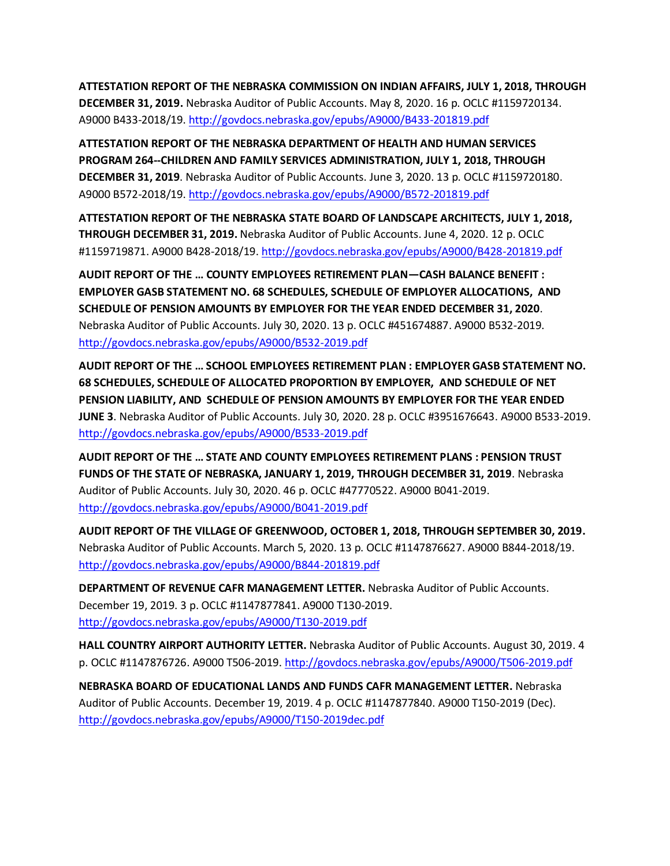**ATTESTATION REPORT OF THE NEBRASKA COMMISSION ON INDIAN AFFAIRS, JULY 1, 2018, THROUGH DECEMBER 31, 2019.** Nebraska Auditor of Public Accounts. May 8, 2020. 16 p. OCLC #1159720134. A9000 B433-2018/19.<http://govdocs.nebraska.gov/epubs/A9000/B433-201819.pdf>

**ATTESTATION REPORT OF THE NEBRASKA DEPARTMENT OF HEALTH AND HUMAN SERVICES PROGRAM 264--CHILDREN AND FAMILY SERVICES ADMINISTRATION, JULY 1, 2018, THROUGH DECEMBER 31, 2019**. Nebraska Auditor of Public Accounts. June 3, 2020. 13 p. OCLC #1159720180. A9000 B572-2018/19.<http://govdocs.nebraska.gov/epubs/A9000/B572-201819.pdf>

**ATTESTATION REPORT OF THE NEBRASKA STATE BOARD OF LANDSCAPE ARCHITECTS, JULY 1, 2018, THROUGH DECEMBER 31, 2019.** Nebraska Auditor of Public Accounts. June 4, 2020. 12 p. OCLC #1159719871. A9000 B428-2018/19[. http://govdocs.nebraska.gov/epubs/A9000/B428-201819.pdf](http://govdocs.nebraska.gov/epubs/A9000/B428-201819.pdf)

**AUDIT REPORT OF THE … COUNTY EMPLOYEES RETIREMENT PLAN—CASH BALANCE BENEFIT : EMPLOYER GASB STATEMENT NO. 68 SCHEDULES, SCHEDULE OF EMPLOYER ALLOCATIONS, AND SCHEDULE OF PENSION AMOUNTS BY EMPLOYER FOR THE YEAR ENDED DECEMBER 31, 2020**. Nebraska Auditor of Public Accounts. July 30, 2020. 13 p. OCLC #451674887. A9000 B532-2019. <http://govdocs.nebraska.gov/epubs/A9000/B532-2019.pdf>

**AUDIT REPORT OF THE … SCHOOL EMPLOYEES RETIREMENT PLAN : EMPLOYER GASB STATEMENT NO. 68 SCHEDULES, SCHEDULE OF ALLOCATED PROPORTION BY EMPLOYER, AND SCHEDULE OF NET PENSION LIABILITY, AND SCHEDULE OF PENSION AMOUNTS BY EMPLOYER FOR THE YEAR ENDED JUNE 3**. Nebraska Auditor of Public Accounts. July 30, 2020. 28 p. OCLC #3951676643. A9000 B533-2019. <http://govdocs.nebraska.gov/epubs/A9000/B533-2019.pdf>

**AUDIT REPORT OF THE … STATE AND COUNTY EMPLOYEES RETIREMENT PLANS : PENSION TRUST FUNDS OF THE STATE OF NEBRASKA, JANUARY 1, 2019, THROUGH DECEMBER 31, 2019**. Nebraska Auditor of Public Accounts. July 30, 2020. 46 p. OCLC #47770522. A9000 B041-2019. <http://govdocs.nebraska.gov/epubs/A9000/B041-2019.pdf>

**AUDIT REPORT OF THE VILLAGE OF GREENWOOD, OCTOBER 1, 2018, THROUGH SEPTEMBER 30, 2019.**  Nebraska Auditor of Public Accounts. March 5, 2020. 13 p. OCLC #1147876627. A9000 B844-2018/19. <http://govdocs.nebraska.gov/epubs/A9000/B844-201819.pdf>

**DEPARTMENT OF REVENUE CAFR MANAGEMENT LETTER.** Nebraska Auditor of Public Accounts. December 19, 2019. 3 p. OCLC #1147877841. A9000 T130-2019. <http://govdocs.nebraska.gov/epubs/A9000/T130-2019.pdf>

**HALL COUNTRY AIRPORT AUTHORITY LETTER.** Nebraska Auditor of Public Accounts. August 30, 2019. 4 p. OCLC #1147876726. A9000 T506-2019.<http://govdocs.nebraska.gov/epubs/A9000/T506-2019.pdf>

**NEBRASKA BOARD OF EDUCATIONAL LANDS AND FUNDS CAFR MANAGEMENT LETTER.** Nebraska Auditor of Public Accounts. December 19, 2019. 4 p. OCLC #1147877840. A9000 T150-2019 (Dec). <http://govdocs.nebraska.gov/epubs/A9000/T150-2019dec.pdf>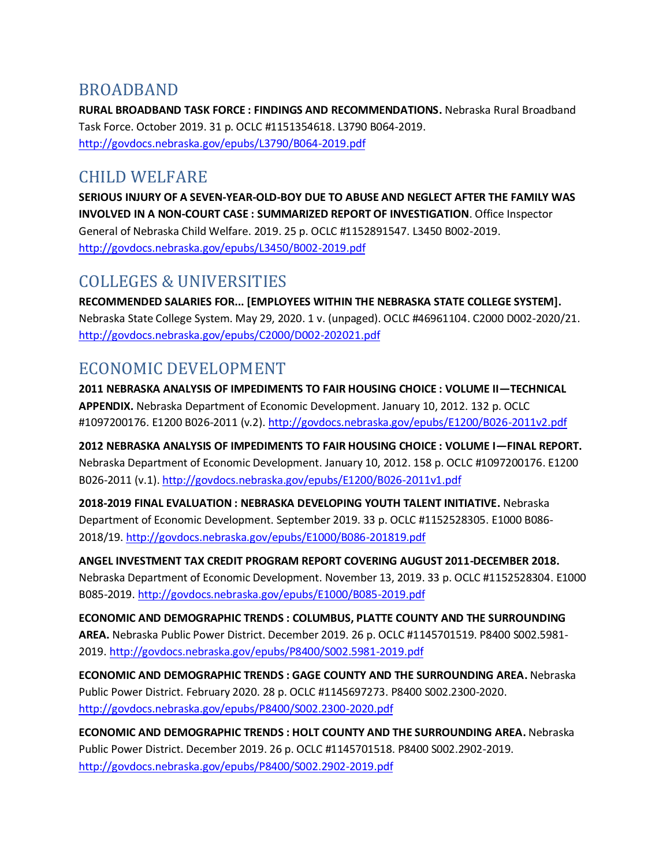#### BROADBAND

**RURAL BROADBAND TASK FORCE : FINDINGS AND RECOMMENDATIONS.** Nebraska Rural Broadband Task Force. October 2019. 31 p. OCLC #1151354618. L3790 B064-2019. <http://govdocs.nebraska.gov/epubs/L3790/B064-2019.pdf>

#### CHILD WELFARE

**SERIOUS INJURY OF A SEVEN-YEAR-OLD-BOY DUE TO ABUSE AND NEGLECT AFTER THE FAMILY WAS INVOLVED IN A NON-COURT CASE : SUMMARIZED REPORT OF INVESTIGATION**. Office Inspector General of Nebraska Child Welfare. 2019. 25 p. OCLC #1152891547. L3450 B002-2019. <http://govdocs.nebraska.gov/epubs/L3450/B002-2019.pdf>

## COLLEGES & UNIVERSITIES

**RECOMMENDED SALARIES FOR... [EMPLOYEES WITHIN THE NEBRASKA STATE COLLEGE SYSTEM].**  Nebraska State College System. May 29, 2020. 1 v. (unpaged). OCLC #46961104. C2000 D002-2020/21. <http://govdocs.nebraska.gov/epubs/C2000/D002-202021.pdf>

### ECONOMIC DEVELOPMENT

**2011 NEBRASKA ANALYSIS OF IMPEDIMENTS TO FAIR HOUSING CHOICE : VOLUME II—TECHNICAL APPENDIX.** Nebraska Department of Economic Development. January 10, 2012. 132 p. OCLC #1097200176. E1200 B026-2011 (v.2).<http://govdocs.nebraska.gov/epubs/E1200/B026-2011v2.pdf>

**2012 NEBRASKA ANALYSIS OF IMPEDIMENTS TO FAIR HOUSING CHOICE : VOLUME I—FINAL REPORT.**  Nebraska Department of Economic Development. January 10, 2012. 158 p. OCLC #1097200176. E1200 B026-2011 (v.1)[. http://govdocs.nebraska.gov/epubs/E1200/B026-2011v1.pdf](http://govdocs.nebraska.gov/epubs/E1200/B026-2011v1.pdf)

**2018-2019 FINAL EVALUATION : NEBRASKA DEVELOPING YOUTH TALENT INITIATIVE.** Nebraska Department of Economic Development. September 2019. 33 p. OCLC #1152528305. E1000 B086- 2018/19.<http://govdocs.nebraska.gov/epubs/E1000/B086-201819.pdf>

**ANGEL INVESTMENT TAX CREDIT PROGRAM REPORT COVERING AUGUST 2011-DECEMBER 2018.**  Nebraska Department of Economic Development. November 13, 2019. 33 p. OCLC #1152528304. E1000 B085-2019[. http://govdocs.nebraska.gov/epubs/E1000/B085-2019.pdf](http://govdocs.nebraska.gov/epubs/E1000/B085-2019.pdf)

**ECONOMIC AND DEMOGRAPHIC TRENDS : COLUMBUS, PLATTE COUNTY AND THE SURROUNDING AREA.** Nebraska Public Power District. December 2019. 26 p. OCLC #1145701519. P8400 S002.5981- 2019[. http://govdocs.nebraska.gov/epubs/P8400/S002.5981-2019.pdf](http://govdocs.nebraska.gov/epubs/P8400/S002.5981-2019.pdf)

**ECONOMIC AND DEMOGRAPHIC TRENDS : GAGE COUNTY AND THE SURROUNDING AREA.** Nebraska Public Power District. February 2020. 28 p. OCLC #1145697273. P8400 S002.2300-2020. <http://govdocs.nebraska.gov/epubs/P8400/S002.2300-2020.pdf>

**ECONOMIC AND DEMOGRAPHIC TRENDS : HOLT COUNTY AND THE SURROUNDING AREA.** Nebraska Public Power District. December 2019. 26 p. OCLC #1145701518. P8400 S002.2902-2019. <http://govdocs.nebraska.gov/epubs/P8400/S002.2902-2019.pdf>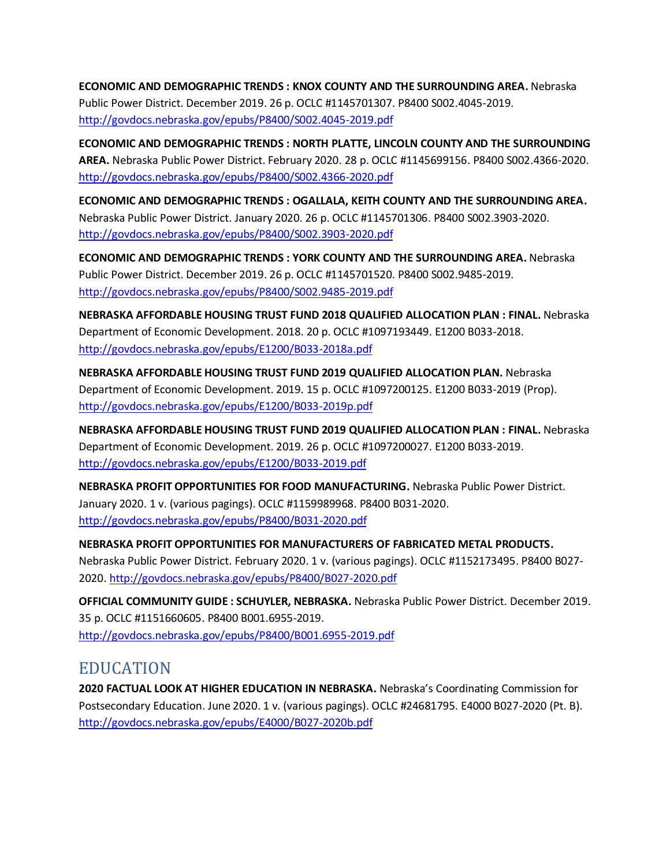**ECONOMIC AND DEMOGRAPHIC TRENDS : KNOX COUNTY AND THE SURROUNDING AREA.** Nebraska Public Power District. December 2019. 26 p. OCLC #1145701307. P8400 S002.4045-2019. <http://govdocs.nebraska.gov/epubs/P8400/S002.4045-2019.pdf>

**ECONOMIC AND DEMOGRAPHIC TRENDS : NORTH PLATTE, LINCOLN COUNTY AND THE SURROUNDING AREA.** Nebraska Public Power District. February 2020. 28 p. OCLC #1145699156. P8400 S002.4366-2020. <http://govdocs.nebraska.gov/epubs/P8400/S002.4366-2020.pdf>

**ECONOMIC AND DEMOGRAPHIC TRENDS : OGALLALA, KEITH COUNTY AND THE SURROUNDING AREA.**  Nebraska Public Power District. January 2020. 26 p. OCLC #1145701306. P8400 S002.3903-2020. <http://govdocs.nebraska.gov/epubs/P8400/S002.3903-2020.pdf>

**ECONOMIC AND DEMOGRAPHIC TRENDS : YORK COUNTY AND THE SURROUNDING AREA.** Nebraska Public Power District. December 2019. 26 p. OCLC #1145701520. P8400 S002.9485-2019. <http://govdocs.nebraska.gov/epubs/P8400/S002.9485-2019.pdf>

**NEBRASKA AFFORDABLE HOUSING TRUST FUND 2018 QUALIFIED ALLOCATION PLAN : FINAL.** Nebraska Department of Economic Development. 2018. 20 p. OCLC #1097193449. E1200 B033-2018. <http://govdocs.nebraska.gov/epubs/E1200/B033-2018a.pdf>

**NEBRASKA AFFORDABLE HOUSING TRUST FUND 2019 QUALIFIED ALLOCATION PLAN.** Nebraska Department of Economic Development. 2019. 15 p. OCLC #1097200125. E1200 B033-2019 (Prop). <http://govdocs.nebraska.gov/epubs/E1200/B033-2019p.pdf>

**NEBRASKA AFFORDABLE HOUSING TRUST FUND 2019 QUALIFIED ALLOCATION PLAN : FINAL.** Nebraska Department of Economic Development. 2019. 26 p. OCLC #1097200027. E1200 B033-2019. <http://govdocs.nebraska.gov/epubs/E1200/B033-2019.pdf>

**NEBRASKA PROFIT OPPORTUNITIES FOR FOOD MANUFACTURING.** Nebraska Public Power District. January 2020. 1 v. (various pagings). OCLC #1159989968. P8400 B031-2020. <http://govdocs.nebraska.gov/epubs/P8400/B031-2020.pdf>

**NEBRASKA PROFIT OPPORTUNITIES FOR MANUFACTURERS OF FABRICATED METAL PRODUCTS.**  Nebraska Public Power District. February 2020. 1 v. (various pagings). OCLC #1152173495. P8400 B027- 2020[. http://govdocs.nebraska.gov/epubs/P8400/B027-2020.pdf](http://govdocs.nebraska.gov/epubs/P8400/B027-2020.pdf)

**OFFICIAL COMMUNITY GUIDE : SCHUYLER, NEBRASKA.** Nebraska Public Power District. December 2019. 35 p. OCLC #1151660605. P8400 B001.6955-2019. <http://govdocs.nebraska.gov/epubs/P8400/B001.6955-2019.pdf>

#### EDUCATION

**2020 FACTUAL LOOK AT HIGHER EDUCATION IN NEBRASKA.** Nebraska's Coordinating Commission for Postsecondary Education. June 2020. 1 v. (various pagings). OCLC #24681795. E4000 B027-2020 (Pt. B). <http://govdocs.nebraska.gov/epubs/E4000/B027-2020b.pdf>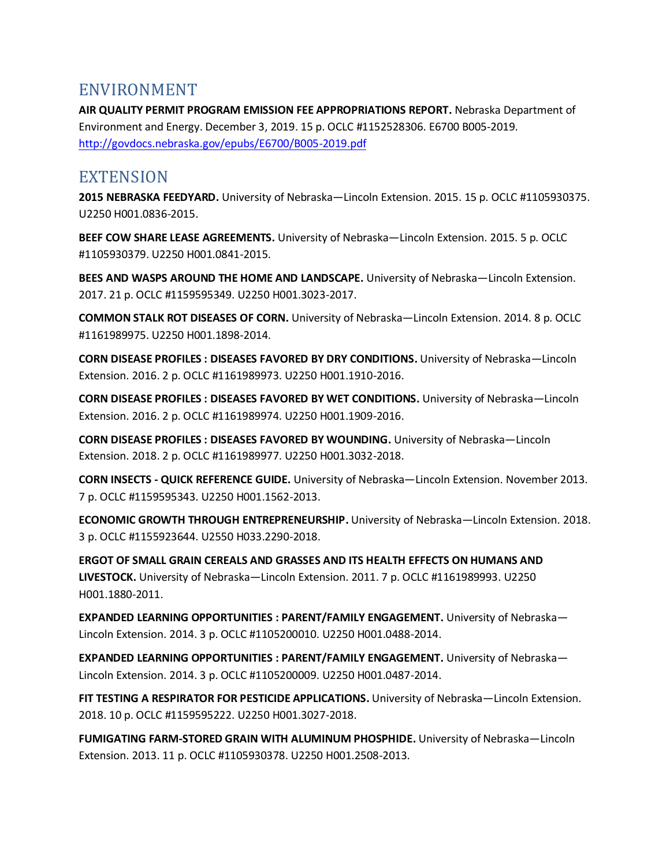#### ENVIRONMENT

**AIR QUALITY PERMIT PROGRAM EMISSION FEE APPROPRIATIONS REPORT.** Nebraska Department of Environment and Energy. December 3, 2019. 15 p. OCLC #1152528306. E6700 B005-2019. <http://govdocs.nebraska.gov/epubs/E6700/B005-2019.pdf>

#### **EXTENSION**

**2015 NEBRASKA FEEDYARD.** University of Nebraska—Lincoln Extension. 2015. 15 p. OCLC #1105930375. U2250 H001.0836-2015.

**BEEF COW SHARE LEASE AGREEMENTS.** University of Nebraska—Lincoln Extension. 2015. 5 p. OCLC #1105930379. U2250 H001.0841-2015.

**BEES AND WASPS AROUND THE HOME AND LANDSCAPE.** University of Nebraska—Lincoln Extension. 2017. 21 p. OCLC #1159595349. U2250 H001.3023-2017.

**COMMON STALK ROT DISEASES OF CORN.** University of Nebraska—Lincoln Extension. 2014. 8 p. OCLC #1161989975. U2250 H001.1898-2014.

**CORN DISEASE PROFILES : DISEASES FAVORED BY DRY CONDITIONS.** University of Nebraska—Lincoln Extension. 2016. 2 p. OCLC #1161989973. U2250 H001.1910-2016.

**CORN DISEASE PROFILES : DISEASES FAVORED BY WET CONDITIONS.** University of Nebraska—Lincoln Extension. 2016. 2 p. OCLC #1161989974. U2250 H001.1909-2016.

**CORN DISEASE PROFILES : DISEASES FAVORED BY WOUNDING.** University of Nebraska—Lincoln Extension. 2018. 2 p. OCLC #1161989977. U2250 H001.3032-2018.

**CORN INSECTS - QUICK REFERENCE GUIDE.** University of Nebraska—Lincoln Extension. November 2013. 7 p. OCLC #1159595343. U2250 H001.1562-2013.

**ECONOMIC GROWTH THROUGH ENTREPRENEURSHIP.** University of Nebraska—Lincoln Extension. 2018. 3 p. OCLC #1155923644. U2550 H033.2290-2018.

**ERGOT OF SMALL GRAIN CEREALS AND GRASSES AND ITS HEALTH EFFECTS ON HUMANS AND LIVESTOCK.** University of Nebraska—Lincoln Extension. 2011. 7 p. OCLC #1161989993. U2250 H001.1880-2011.

**EXPANDED LEARNING OPPORTUNITIES : PARENT/FAMILY ENGAGEMENT.** University of Nebraska— Lincoln Extension. 2014. 3 p. OCLC #1105200010. U2250 H001.0488-2014.

**EXPANDED LEARNING OPPORTUNITIES : PARENT/FAMILY ENGAGEMENT.** University of Nebraska— Lincoln Extension. 2014. 3 p. OCLC #1105200009. U2250 H001.0487-2014.

**FIT TESTING A RESPIRATOR FOR PESTICIDE APPLICATIONS.** University of Nebraska—Lincoln Extension. 2018. 10 p. OCLC #1159595222. U2250 H001.3027-2018.

**FUMIGATING FARM-STORED GRAIN WITH ALUMINUM PHOSPHIDE.** University of Nebraska—Lincoln Extension. 2013. 11 p. OCLC #1105930378. U2250 H001.2508-2013.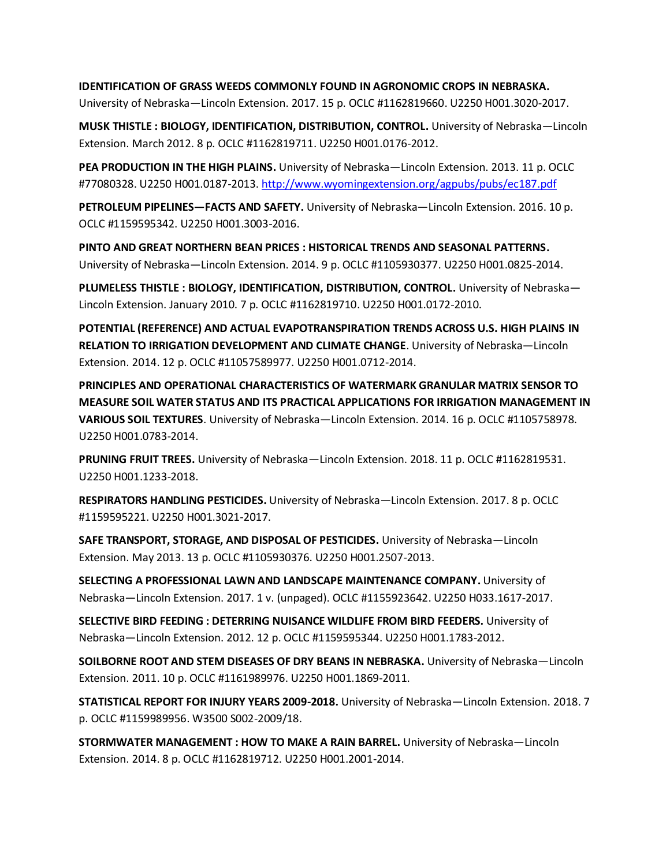#### **IDENTIFICATION OF GRASS WEEDS COMMONLY FOUND IN AGRONOMIC CROPS IN NEBRASKA.**

University of Nebraska—Lincoln Extension. 2017. 15 p. OCLC #1162819660. U2250 H001.3020-2017.

**MUSK THISTLE : BIOLOGY, IDENTIFICATION, DISTRIBUTION, CONTROL.** University of Nebraska—Lincoln Extension. March 2012. 8 p. OCLC #1162819711. U2250 H001.0176-2012.

**PEA PRODUCTION IN THE HIGH PLAINS.** University of Nebraska—Lincoln Extension. 2013. 11 p. OCLC #77080328. U2250 H001.0187-2013.<http://www.wyomingextension.org/agpubs/pubs/ec187.pdf>

**PETROLEUM PIPELINES—FACTS AND SAFETY.** University of Nebraska—Lincoln Extension. 2016. 10 p. OCLC #1159595342. U2250 H001.3003-2016.

**PINTO AND GREAT NORTHERN BEAN PRICES : HISTORICAL TRENDS AND SEASONAL PATTERNS.**  University of Nebraska—Lincoln Extension. 2014. 9 p. OCLC #1105930377. U2250 H001.0825-2014.

**PLUMELESS THISTLE : BIOLOGY, IDENTIFICATION, DISTRIBUTION, CONTROL.** University of Nebraska— Lincoln Extension. January 2010. 7 p. OCLC #1162819710. U2250 H001.0172-2010.

**POTENTIAL (REFERENCE) AND ACTUAL EVAPOTRANSPIRATION TRENDS ACROSS U.S. HIGH PLAINS IN RELATION TO IRRIGATION DEVELOPMENT AND CLIMATE CHANGE**. University of Nebraska—Lincoln Extension. 2014. 12 p. OCLC #11057589977. U2250 H001.0712-2014.

**PRINCIPLES AND OPERATIONAL CHARACTERISTICS OF WATERMARK GRANULAR MATRIX SENSOR TO MEASURE SOIL WATER STATUS AND ITS PRACTICAL APPLICATIONS FOR IRRIGATION MANAGEMENT IN VARIOUS SOIL TEXTURES**. University of Nebraska—Lincoln Extension. 2014. 16 p. OCLC #1105758978. U2250 H001.0783-2014.

**PRUNING FRUIT TREES.** University of Nebraska—Lincoln Extension. 2018. 11 p. OCLC #1162819531. U2250 H001.1233-2018.

**RESPIRATORS HANDLING PESTICIDES.** University of Nebraska—Lincoln Extension. 2017. 8 p. OCLC #1159595221. U2250 H001.3021-2017.

**SAFE TRANSPORT, STORAGE, AND DISPOSAL OF PESTICIDES.** University of Nebraska—Lincoln Extension. May 2013. 13 p. OCLC #1105930376. U2250 H001.2507-2013.

**SELECTING A PROFESSIONAL LAWN AND LANDSCAPE MAINTENANCE COMPANY.** University of Nebraska—Lincoln Extension. 2017. 1 v. (unpaged). OCLC #1155923642. U2250 H033.1617-2017.

**SELECTIVE BIRD FEEDING : DETERRING NUISANCE WILDLIFE FROM BIRD FEEDERS.** University of Nebraska—Lincoln Extension. 2012. 12 p. OCLC #1159595344. U2250 H001.1783-2012.

**SOILBORNE ROOT AND STEM DISEASES OF DRY BEANS IN NEBRASKA.** University of Nebraska—Lincoln Extension. 2011. 10 p. OCLC #1161989976. U2250 H001.1869-2011.

**STATISTICAL REPORT FOR INJURY YEARS 2009-2018.** University of Nebraska—Lincoln Extension. 2018. 7 p. OCLC #1159989956. W3500 S002-2009/18.

**STORMWATER MANAGEMENT : HOW TO MAKE A RAIN BARREL.** University of Nebraska—Lincoln Extension. 2014. 8 p. OCLC #1162819712. U2250 H001.2001-2014.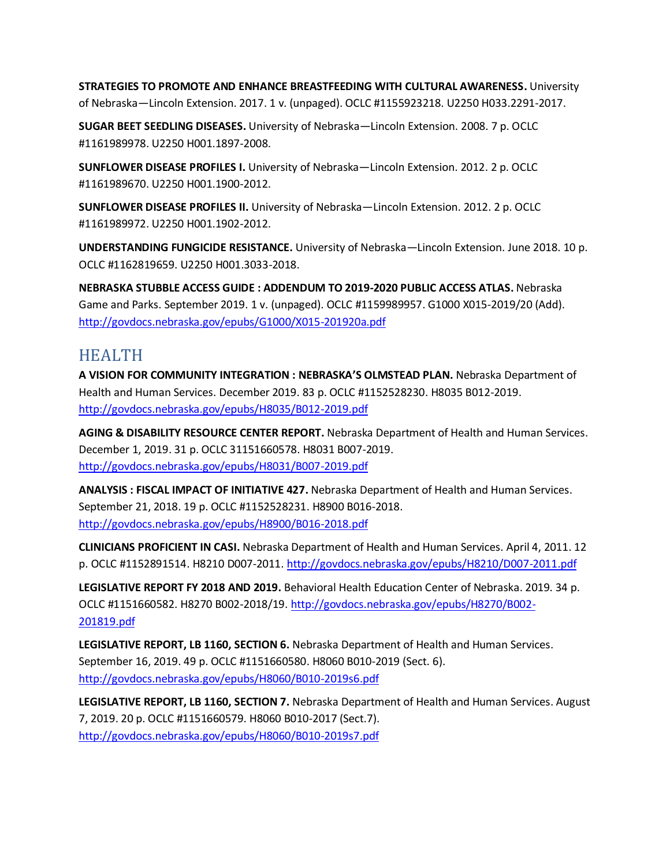**STRATEGIES TO PROMOTE AND ENHANCE BREASTFEEDING WITH CULTURAL AWARENESS.** University of Nebraska—Lincoln Extension. 2017. 1 v. (unpaged). OCLC #1155923218. U2250 H033.2291-2017.

**SUGAR BEET SEEDLING DISEASES.** University of Nebraska—Lincoln Extension. 2008. 7 p. OCLC #1161989978. U2250 H001.1897-2008.

**SUNFLOWER DISEASE PROFILES I.** University of Nebraska—Lincoln Extension. 2012. 2 p. OCLC #1161989670. U2250 H001.1900-2012.

**SUNFLOWER DISEASE PROFILES II.** University of Nebraska—Lincoln Extension. 2012. 2 p. OCLC #1161989972. U2250 H001.1902-2012.

**UNDERSTANDING FUNGICIDE RESISTANCE.** University of Nebraska—Lincoln Extension. June 2018. 10 p. OCLC #1162819659. U2250 H001.3033-2018.

**NEBRASKA STUBBLE ACCESS GUIDE : ADDENDUM TO 2019-2020 PUBLIC ACCESS ATLAS.** Nebraska Game and Parks. September 2019. 1 v. (unpaged). OCLC #1159989957. G1000 X015-2019/20 (Add). <http://govdocs.nebraska.gov/epubs/G1000/X015-201920a.pdf>

### HEALTH

**A VISION FOR COMMUNITY INTEGRATION : NEBRASKA'S OLMSTEAD PLAN.** Nebraska Department of Health and Human Services. December 2019. 83 p. OCLC #1152528230. H8035 B012-2019. <http://govdocs.nebraska.gov/epubs/H8035/B012-2019.pdf>

**AGING & DISABILITY RESOURCE CENTER REPORT.** Nebraska Department of Health and Human Services. December 1, 2019. 31 p. OCLC 31151660578. H8031 B007-2019. <http://govdocs.nebraska.gov/epubs/H8031/B007-2019.pdf>

**ANALYSIS : FISCAL IMPACT OF INITIATIVE 427.** Nebraska Department of Health and Human Services. September 21, 2018. 19 p. OCLC #1152528231. H8900 B016-2018. <http://govdocs.nebraska.gov/epubs/H8900/B016-2018.pdf>

**CLINICIANS PROFICIENT IN CASI.** Nebraska Department of Health and Human Services. April 4, 2011. 12 p. OCLC #1152891514. H8210 D007-2011[. http://govdocs.nebraska.gov/epubs/H8210/D007-2011.pdf](http://govdocs.nebraska.gov/epubs/H8210/D007-2011.pdf)

**LEGISLATIVE REPORT FY 2018 AND 2019.** Behavioral Health Education Center of Nebraska. 2019. 34 p. OCLC #1151660582. H8270 B002-2018/19[. http://govdocs.nebraska.gov/epubs/H8270/B002-](http://govdocs.nebraska.gov/epubs/H8270/B002-201819.pdf) [201819.pdf](http://govdocs.nebraska.gov/epubs/H8270/B002-201819.pdf)

**LEGISLATIVE REPORT, LB 1160, SECTION 6.** Nebraska Department of Health and Human Services. September 16, 2019. 49 p. OCLC #1151660580. H8060 B010-2019 (Sect. 6). <http://govdocs.nebraska.gov/epubs/H8060/B010-2019s6.pdf>

**LEGISLATIVE REPORT, LB 1160, SECTION 7.** Nebraska Department of Health and Human Services. August 7, 2019. 20 p. OCLC #1151660579. H8060 B010-2017 (Sect.7). <http://govdocs.nebraska.gov/epubs/H8060/B010-2019s7.pdf>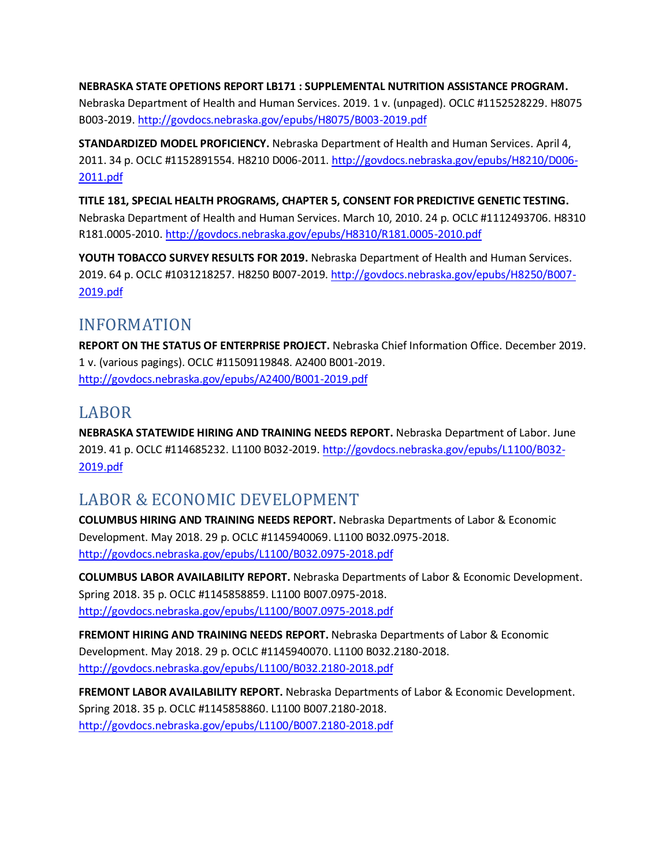**NEBRASKA STATE OPETIONS REPORT LB171 : SUPPLEMENTAL NUTRITION ASSISTANCE PROGRAM.**  Nebraska Department of Health and Human Services. 2019. 1 v. (unpaged). OCLC #1152528229. H8075 B003-2019[. http://govdocs.nebraska.gov/epubs/H8075/B003-2019.pdf](http://govdocs.nebraska.gov/epubs/H8075/B003-2019.pdf)

**STANDARDIZED MODEL PROFICIENCY.** Nebraska Department of Health and Human Services. April 4, 2011. 34 p. OCLC #1152891554. H8210 D006-2011. [http://govdocs.nebraska.gov/epubs/H8210/D006-](http://govdocs.nebraska.gov/epubs/H8210/D006-2011.pdf) [2011.pdf](http://govdocs.nebraska.gov/epubs/H8210/D006-2011.pdf)

**TITLE 181, SPECIAL HEALTH PROGRAMS, CHAPTER 5, CONSENT FOR PREDICTIVE GENETIC TESTING.**  Nebraska Department of Health and Human Services. March 10, 2010. 24 p. OCLC #1112493706. H8310 R181.0005-2010[. http://govdocs.nebraska.gov/epubs/H8310/R181.0005-2010.pdf](http://govdocs.nebraska.gov/epubs/H8310/R181.0005-2010.pdf)

**YOUTH TOBACCO SURVEY RESULTS FOR 2019.** Nebraska Department of Health and Human Services. 2019. 64 p. OCLC #1031218257. H8250 B007-2019. [http://govdocs.nebraska.gov/epubs/H8250/B007-](http://govdocs.nebraska.gov/epubs/H8250/B007-2019.pdf) [2019.pdf](http://govdocs.nebraska.gov/epubs/H8250/B007-2019.pdf)

### INFORMATION

**REPORT ON THE STATUS OF ENTERPRISE PROJECT.** Nebraska Chief Information Office. December 2019. 1 v. (various pagings). OCLC #11509119848. A2400 B001-2019. <http://govdocs.nebraska.gov/epubs/A2400/B001-2019.pdf>

### LABOR

**NEBRASKA STATEWIDE HIRING AND TRAINING NEEDS REPORT.** Nebraska Department of Labor. June 2019. 41 p. OCLC #114685232. L1100 B032-2019[. http://govdocs.nebraska.gov/epubs/L1100/B032-](http://govdocs.nebraska.gov/epubs/L1100/B032-2019.pdf) [2019.pdf](http://govdocs.nebraska.gov/epubs/L1100/B032-2019.pdf)

# LABOR & ECONOMIC DEVELOPMENT

**COLUMBUS HIRING AND TRAINING NEEDS REPORT.** Nebraska Departments of Labor & Economic Development. May 2018. 29 p. OCLC #1145940069. L1100 B032.0975-2018. <http://govdocs.nebraska.gov/epubs/L1100/B032.0975-2018.pdf>

**COLUMBUS LABOR AVAILABILITY REPORT.** Nebraska Departments of Labor & Economic Development. Spring 2018. 35 p. OCLC #1145858859. L1100 B007.0975-2018. <http://govdocs.nebraska.gov/epubs/L1100/B007.0975-2018.pdf>

**FREMONT HIRING AND TRAINING NEEDS REPORT.** Nebraska Departments of Labor & Economic Development. May 2018. 29 p. OCLC #1145940070. L1100 B032.2180-2018. <http://govdocs.nebraska.gov/epubs/L1100/B032.2180-2018.pdf>

**FREMONT LABOR AVAILABILITY REPORT.** Nebraska Departments of Labor & Economic Development. Spring 2018. 35 p. OCLC #1145858860. L1100 B007.2180-2018. <http://govdocs.nebraska.gov/epubs/L1100/B007.2180-2018.pdf>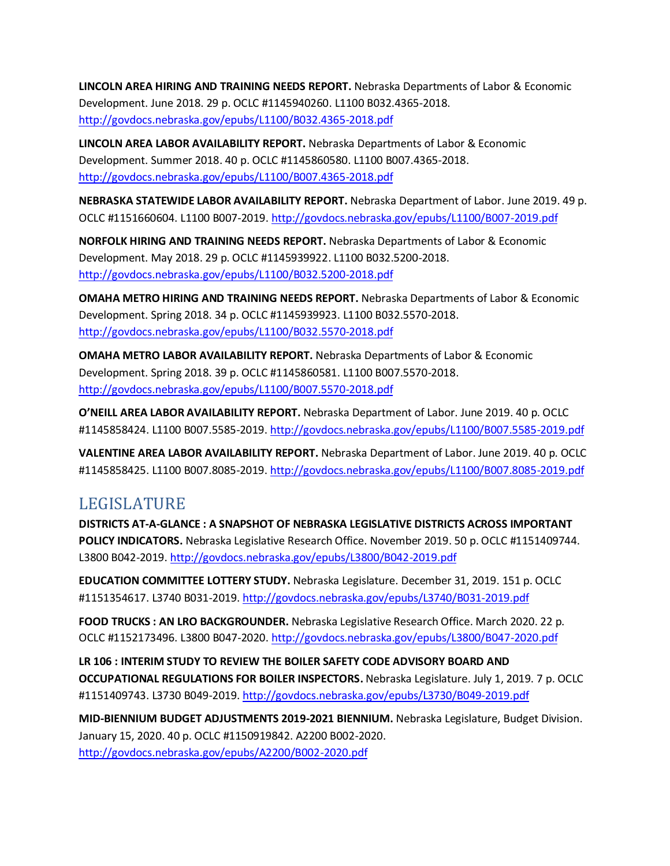**LINCOLN AREA HIRING AND TRAINING NEEDS REPORT.** Nebraska Departments of Labor & Economic Development. June 2018. 29 p. OCLC #1145940260. L1100 B032.4365-2018. <http://govdocs.nebraska.gov/epubs/L1100/B032.4365-2018.pdf>

**LINCOLN AREA LABOR AVAILABILITY REPORT.** Nebraska Departments of Labor & Economic Development. Summer 2018. 40 p. OCLC #1145860580. L1100 B007.4365-2018. <http://govdocs.nebraska.gov/epubs/L1100/B007.4365-2018.pdf>

**NEBRASKA STATEWIDE LABOR AVAILABILITY REPORT.** Nebraska Department of Labor. June 2019. 49 p. OCLC #1151660604. L1100 B007-2019[. http://govdocs.nebraska.gov/epubs/L1100/B007-2019.pdf](http://govdocs.nebraska.gov/epubs/L1100/B007-2019.pdf)

**NORFOLK HIRING AND TRAINING NEEDS REPORT.** Nebraska Departments of Labor & Economic Development. May 2018. 29 p. OCLC #1145939922. L1100 B032.5200-2018. <http://govdocs.nebraska.gov/epubs/L1100/B032.5200-2018.pdf>

**OMAHA METRO HIRING AND TRAINING NEEDS REPORT.** Nebraska Departments of Labor & Economic Development. Spring 2018. 34 p. OCLC #1145939923. L1100 B032.5570-2018. <http://govdocs.nebraska.gov/epubs/L1100/B032.5570-2018.pdf>

**OMAHA METRO LABOR AVAILABILITY REPORT.** Nebraska Departments of Labor & Economic Development. Spring 2018. 39 p. OCLC #1145860581. L1100 B007.5570-2018. <http://govdocs.nebraska.gov/epubs/L1100/B007.5570-2018.pdf>

**O'NEILL AREA LABOR AVAILABILITY REPORT.** Nebraska Department of Labor. June 2019. 40 p. OCLC #1145858424. L1100 B007.5585-2019[. http://govdocs.nebraska.gov/epubs/L1100/B007.5585-2019.pdf](http://govdocs.nebraska.gov/epubs/L1100/B007.5585-2019.pdf)

**VALENTINE AREA LABOR AVAILABILITY REPORT.** Nebraska Department of Labor. June 2019. 40 p. OCLC #1145858425. L1100 B007.8085-2019[. http://govdocs.nebraska.gov/epubs/L1100/B007.8085-2019.pdf](http://govdocs.nebraska.gov/epubs/L1100/B007.8085-2019.pdf)

### LEGISLATURE

**DISTRICTS AT-A-GLANCE : A SNAPSHOT OF NEBRASKA LEGISLATIVE DISTRICTS ACROSS IMPORTANT POLICY INDICATORS.** Nebraska Legislative Research Office. November 2019. 50 p. OCLC #1151409744. L3800 B042-2019[. http://govdocs.nebraska.gov/epubs/L3800/B042-2019.pdf](http://govdocs.nebraska.gov/epubs/L3800/B042-2019.pdf)

**EDUCATION COMMITTEE LOTTERY STUDY.** Nebraska Legislature. December 31, 2019. 151 p. OCLC #1151354617. L3740 B031-2019[. http://govdocs.nebraska.gov/epubs/L3740/B031-2019.pdf](http://govdocs.nebraska.gov/epubs/L3740/B031-2019.pdf)

**FOOD TRUCKS : AN LRO BACKGROUNDER.** Nebraska Legislative Research Office. March 2020. 22 p. OCLC #1152173496. L3800 B047-2020[. http://govdocs.nebraska.gov/epubs/L3800/B047-2020.pdf](http://govdocs.nebraska.gov/epubs/L3800/B047-2020.pdf)

**LR 106 : INTERIM STUDY TO REVIEW THE BOILER SAFETY CODE ADVISORY BOARD AND OCCUPATIONAL REGULATIONS FOR BOILER INSPECTORS.** Nebraska Legislature. July 1, 2019. 7 p. OCLC #1151409743. L3730 B049-2019[. http://govdocs.nebraska.gov/epubs/L3730/B049-2019.pdf](http://govdocs.nebraska.gov/epubs/L3730/B049-2019.pdf)

**MID-BIENNIUM BUDGET ADJUSTMENTS 2019-2021 BIENNIUM.** Nebraska Legislature, Budget Division. January 15, 2020. 40 p. OCLC #1150919842. A2200 B002-2020. <http://govdocs.nebraska.gov/epubs/A2200/B002-2020.pdf>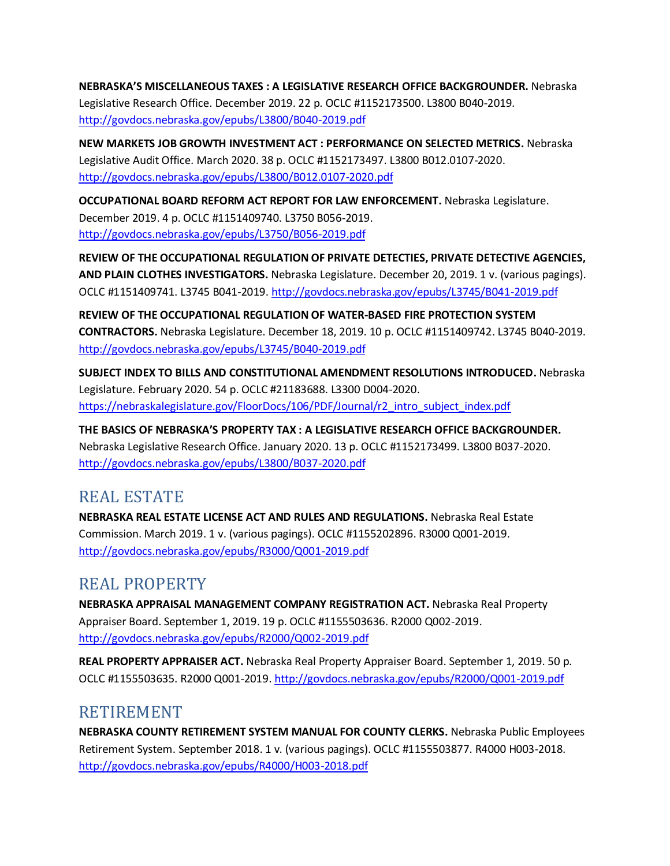**NEBRASKA'S MISCELLANEOUS TAXES : A LEGISLATIVE RESEARCH OFFICE BACKGROUNDER.** Nebraska Legislative Research Office. December 2019. 22 p. OCLC #1152173500. L3800 B040-2019. <http://govdocs.nebraska.gov/epubs/L3800/B040-2019.pdf>

**NEW MARKETS JOB GROWTH INVESTMENT ACT : PERFORMANCE ON SELECTED METRICS.** Nebraska Legislative Audit Office. March 2020. 38 p. OCLC #1152173497. L3800 B012.0107-2020. <http://govdocs.nebraska.gov/epubs/L3800/B012.0107-2020.pdf>

**OCCUPATIONAL BOARD REFORM ACT REPORT FOR LAW ENFORCEMENT.** Nebraska Legislature. December 2019. 4 p. OCLC #1151409740. L3750 B056-2019. <http://govdocs.nebraska.gov/epubs/L3750/B056-2019.pdf>

**REVIEW OF THE OCCUPATIONAL REGULATION OF PRIVATE DETECTIES, PRIVATE DETECTIVE AGENCIES, AND PLAIN CLOTHES INVESTIGATORS.** Nebraska Legislature. December 20, 2019. 1 v. (various pagings). OCLC #1151409741. L3745 B041-2019[. http://govdocs.nebraska.gov/epubs/L3745/B041-2019.pdf](http://govdocs.nebraska.gov/epubs/L3745/B041-2019.pdf)

**REVIEW OF THE OCCUPATIONAL REGULATION OF WATER-BASED FIRE PROTECTION SYSTEM CONTRACTORS.** Nebraska Legislature. December 18, 2019. 10 p. OCLC #1151409742. L3745 B040-2019. <http://govdocs.nebraska.gov/epubs/L3745/B040-2019.pdf>

**SUBJECT INDEX TO BILLS AND CONSTITUTIONAL AMENDMENT RESOLUTIONS INTRODUCED.** Nebraska Legislature. February 2020. 54 p. OCLC #21183688. L3300 D004-2020. [https://nebraskalegislature.gov/FloorDocs/106/PDF/Journal/r2\\_intro\\_subject\\_index.pdf](https://nebraskalegislature.gov/FloorDocs/106/PDF/Journal/r2_intro_subject_index.pdf)

**THE BASICS OF NEBRASKA'S PROPERTY TAX : A LEGISLATIVE RESEARCH OFFICE BACKGROUNDER.**  Nebraska Legislative Research Office. January 2020. 13 p. OCLC #1152173499. L3800 B037-2020. <http://govdocs.nebraska.gov/epubs/L3800/B037-2020.pdf>

### REAL ESTATE

**NEBRASKA REAL ESTATE LICENSE ACT AND RULES AND REGULATIONS.** Nebraska Real Estate Commission. March 2019. 1 v. (various pagings). OCLC #1155202896. R3000 Q001-2019. <http://govdocs.nebraska.gov/epubs/R3000/Q001-2019.pdf>

### REAL PROPERTY

**NEBRASKA APPRAISAL MANAGEMENT COMPANY REGISTRATION ACT.** Nebraska Real Property Appraiser Board. September 1, 2019. 19 p. OCLC #1155503636. R2000 Q002-2019. <http://govdocs.nebraska.gov/epubs/R2000/Q002-2019.pdf>

**REAL PROPERTY APPRAISER ACT.** Nebraska Real Property Appraiser Board. September 1, 2019. 50 p. OCLC #1155503635. R2000 Q001-2019[. http://govdocs.nebraska.gov/epubs/R2000/Q001-2019.pdf](http://govdocs.nebraska.gov/epubs/R2000/Q001-2019.pdf)

#### RETIREMENT

**NEBRASKA COUNTY RETIREMENT SYSTEM MANUAL FOR COUNTY CLERKS.** Nebraska Public Employees Retirement System. September 2018. 1 v. (various pagings). OCLC #1155503877. R4000 H003-2018. <http://govdocs.nebraska.gov/epubs/R4000/H003-2018.pdf>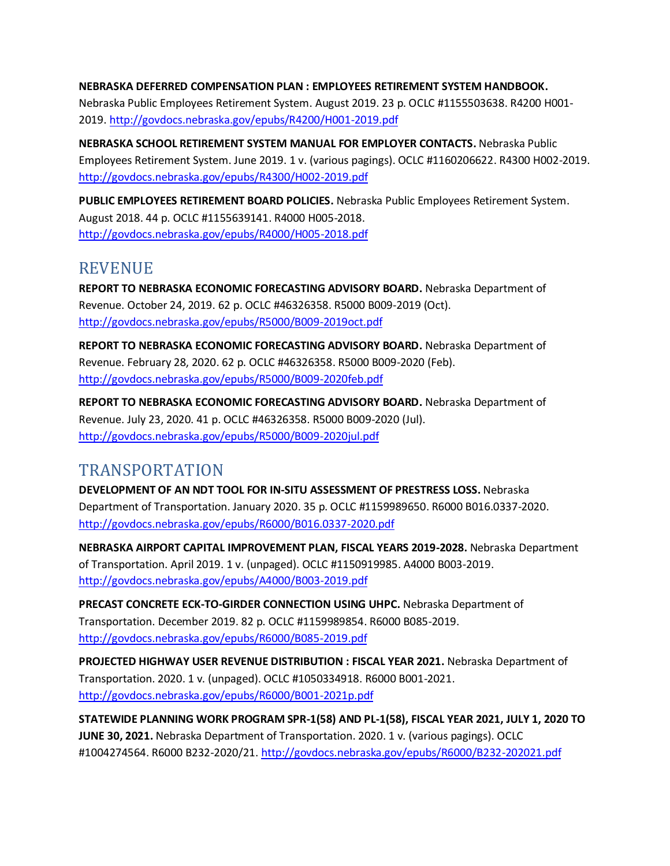#### **NEBRASKA DEFERRED COMPENSATION PLAN : EMPLOYEES RETIREMENT SYSTEM HANDBOOK.**

Nebraska Public Employees Retirement System. August 2019. 23 p. OCLC #1155503638. R4200 H001- 2019[. http://govdocs.nebraska.gov/epubs/R4200/H001-2019.pdf](http://govdocs.nebraska.gov/epubs/R4200/H001-2019.pdf)

**NEBRASKA SCHOOL RETIREMENT SYSTEM MANUAL FOR EMPLOYER CONTACTS.** Nebraska Public Employees Retirement System. June 2019. 1 v. (various pagings). OCLC #1160206622. R4300 H002-2019. <http://govdocs.nebraska.gov/epubs/R4300/H002-2019.pdf>

**PUBLIC EMPLOYEES RETIREMENT BOARD POLICIES.** Nebraska Public Employees Retirement System. August 2018. 44 p. OCLC #1155639141. R4000 H005-2018. <http://govdocs.nebraska.gov/epubs/R4000/H005-2018.pdf>

#### REVENUE

**REPORT TO NEBRASKA ECONOMIC FORECASTING ADVISORY BOARD.** Nebraska Department of Revenue. October 24, 2019. 62 p. OCLC #46326358. R5000 B009-2019 (Oct). <http://govdocs.nebraska.gov/epubs/R5000/B009-2019oct.pdf>

**REPORT TO NEBRASKA ECONOMIC FORECASTING ADVISORY BOARD.** Nebraska Department of Revenue. February 28, 2020. 62 p. OCLC #46326358. R5000 B009-2020 (Feb). <http://govdocs.nebraska.gov/epubs/R5000/B009-2020feb.pdf>

**REPORT TO NEBRASKA ECONOMIC FORECASTING ADVISORY BOARD.** Nebraska Department of Revenue. July 23, 2020. 41 p. OCLC #46326358. R5000 B009-2020 (Jul). <http://govdocs.nebraska.gov/epubs/R5000/B009-2020jul.pdf>

### TRANSPORTATION

**DEVELOPMENT OF AN NDT TOOL FOR IN-SITU ASSESSMENT OF PRESTRESS LOSS.** Nebraska Department of Transportation. January 2020. 35 p. OCLC #1159989650. R6000 B016.0337-2020. <http://govdocs.nebraska.gov/epubs/R6000/B016.0337-2020.pdf>

**NEBRASKA AIRPORT CAPITAL IMPROVEMENT PLAN, FISCAL YEARS 2019-2028.** Nebraska Department of Transportation. April 2019. 1 v. (unpaged). OCLC #1150919985. A4000 B003-2019. <http://govdocs.nebraska.gov/epubs/A4000/B003-2019.pdf>

**PRECAST CONCRETE ECK-TO-GIRDER CONNECTION USING UHPC.** Nebraska Department of Transportation. December 2019. 82 p. OCLC #1159989854. R6000 B085-2019. <http://govdocs.nebraska.gov/epubs/R6000/B085-2019.pdf>

**PROJECTED HIGHWAY USER REVENUE DISTRIBUTION : FISCAL YEAR 2021.** Nebraska Department of Transportation. 2020. 1 v. (unpaged). OCLC #1050334918. R6000 B001-2021. <http://govdocs.nebraska.gov/epubs/R6000/B001-2021p.pdf>

**STATEWIDE PLANNING WORK PROGRAM SPR-1(58) AND PL-1(58), FISCAL YEAR 2021, JULY 1, 2020 TO JUNE 30, 2021.** Nebraska Department of Transportation. 2020. 1 v. (various pagings). OCLC #1004274564. R6000 B232-2020/21[. http://govdocs.nebraska.gov/epubs/R6000/B232-202021.pdf](http://govdocs.nebraska.gov/epubs/R6000/B232-202021.pdf)